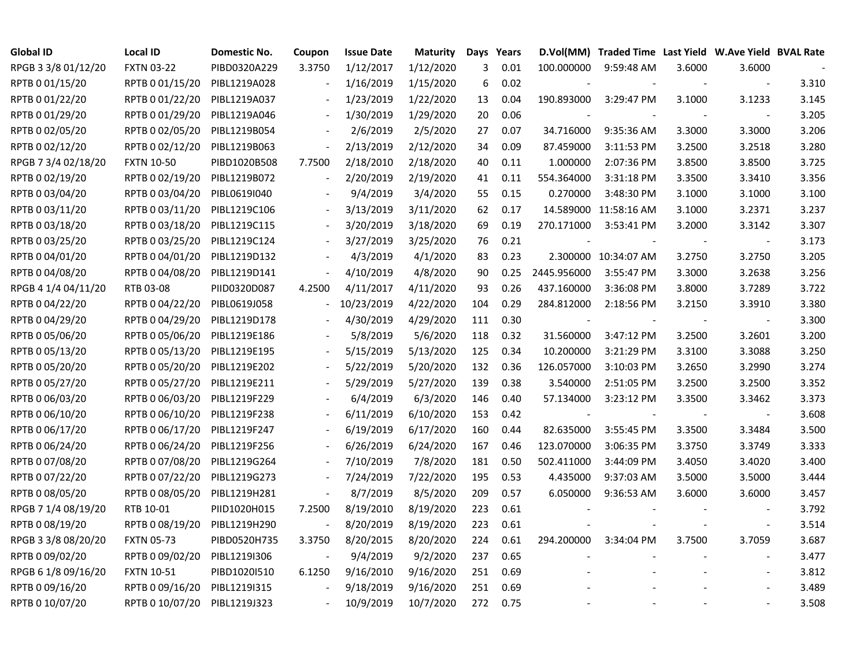| Global ID           | <b>Local ID</b>   | Domestic No. | Coupon | <b>Issue Date</b> | <b>Maturity</b> | Days Years |      |             | D.Vol(MM) Traded Time Last Yield W.Ave Yield BVAL Rate |        |                          |       |
|---------------------|-------------------|--------------|--------|-------------------|-----------------|------------|------|-------------|--------------------------------------------------------|--------|--------------------------|-------|
| RPGB 3 3/8 01/12/20 | <b>FXTN 03-22</b> | PIBD0320A229 | 3.3750 | 1/12/2017         | 1/12/2020       | 3          | 0.01 | 100.000000  | 9:59:48 AM                                             | 3.6000 | 3.6000                   |       |
| RPTB 0 01/15/20     | RPTB 0 01/15/20   | PIBL1219A028 |        | 1/16/2019         | 1/15/2020       | 6          | 0.02 |             |                                                        |        | $\blacksquare$           | 3.310 |
| RPTB 0 01/22/20     | RPTB 0 01/22/20   | PIBL1219A037 |        | 1/23/2019         | 1/22/2020       | 13         | 0.04 | 190.893000  | 3:29:47 PM                                             | 3.1000 | 3.1233                   | 3.145 |
| RPTB 0 01/29/20     | RPTB 0 01/29/20   | PIBL1219A046 |        | 1/30/2019         | 1/29/2020       | 20         | 0.06 |             |                                                        |        |                          | 3.205 |
| RPTB 0 02/05/20     | RPTB 0 02/05/20   | PIBL1219B054 |        | 2/6/2019          | 2/5/2020        | 27         | 0.07 | 34.716000   | 9:35:36 AM                                             | 3.3000 | 3.3000                   | 3.206 |
| RPTB 0 02/12/20     | RPTB 0 02/12/20   | PIBL1219B063 |        | 2/13/2019         | 2/12/2020       | 34         | 0.09 | 87.459000   | 3:11:53 PM                                             | 3.2500 | 3.2518                   | 3.280 |
| RPGB 7 3/4 02/18/20 | <b>FXTN 10-50</b> | PIBD1020B508 | 7.7500 | 2/18/2010         | 2/18/2020       | 40         | 0.11 | 1.000000    | 2:07:36 PM                                             | 3.8500 | 3.8500                   | 3.725 |
| RPTB 0 02/19/20     | RPTB 0 02/19/20   | PIBL1219B072 |        | 2/20/2019         | 2/19/2020       | 41         | 0.11 | 554.364000  | 3:31:18 PM                                             | 3.3500 | 3.3410                   | 3.356 |
| RPTB 0 03/04/20     | RPTB 0 03/04/20   | PIBL0619I040 |        | 9/4/2019          | 3/4/2020        | 55         | 0.15 | 0.270000    | 3:48:30 PM                                             | 3.1000 | 3.1000                   | 3.100 |
| RPTB 0 03/11/20     | RPTB 0 03/11/20   | PIBL1219C106 |        | 3/13/2019         | 3/11/2020       | 62         | 0.17 |             | 14.589000 11:58:16 AM                                  | 3.1000 | 3.2371                   | 3.237 |
| RPTB 0 03/18/20     | RPTB 0 03/18/20   | PIBL1219C115 |        | 3/20/2019         | 3/18/2020       | 69         | 0.19 | 270.171000  | 3:53:41 PM                                             | 3.2000 | 3.3142                   | 3.307 |
| RPTB 0 03/25/20     | RPTB 0 03/25/20   | PIBL1219C124 |        | 3/27/2019         | 3/25/2020       | 76         | 0.21 | $\sim$      |                                                        |        | $\blacksquare$           | 3.173 |
| RPTB 0 04/01/20     | RPTB 0 04/01/20   | PIBL1219D132 |        | 4/3/2019          | 4/1/2020        | 83         | 0.23 |             | 2.300000 10:34:07 AM                                   | 3.2750 | 3.2750                   | 3.205 |
| RPTB 0 04/08/20     | RPTB 0 04/08/20   | PIBL1219D141 |        | 4/10/2019         | 4/8/2020        | 90         | 0.25 | 2445.956000 | 3:55:47 PM                                             | 3.3000 | 3.2638                   | 3.256 |
| RPGB 4 1/4 04/11/20 | RTB 03-08         | PIID0320D087 | 4.2500 | 4/11/2017         | 4/11/2020       | 93         | 0.26 | 437.160000  | 3:36:08 PM                                             | 3.8000 | 3.7289                   | 3.722 |
| RPTB 0 04/22/20     | RPTB 0 04/22/20   | PIBL0619J058 |        | 10/23/2019        | 4/22/2020       | 104        | 0.29 | 284.812000  | 2:18:56 PM                                             | 3.2150 | 3.3910                   | 3.380 |
| RPTB 0 04/29/20     | RPTB 0 04/29/20   | PIBL1219D178 |        | 4/30/2019         | 4/29/2020       | 111        | 0.30 |             |                                                        |        |                          | 3.300 |
| RPTB 0 05/06/20     | RPTB 0 05/06/20   | PIBL1219E186 |        | 5/8/2019          | 5/6/2020        | 118        | 0.32 | 31.560000   | 3:47:12 PM                                             | 3.2500 | 3.2601                   | 3.200 |
| RPTB 0 05/13/20     | RPTB 0 05/13/20   | PIBL1219E195 |        | 5/15/2019         | 5/13/2020       | 125        | 0.34 | 10.200000   | 3:21:29 PM                                             | 3.3100 | 3.3088                   | 3.250 |
| RPTB 0 05/20/20     | RPTB 0 05/20/20   | PIBL1219E202 |        | 5/22/2019         | 5/20/2020       | 132        | 0.36 | 126.057000  | 3:10:03 PM                                             | 3.2650 | 3.2990                   | 3.274 |
| RPTB 0 05/27/20     | RPTB 0 05/27/20   | PIBL1219E211 |        | 5/29/2019         | 5/27/2020       | 139        | 0.38 | 3.540000    | 2:51:05 PM                                             | 3.2500 | 3.2500                   | 3.352 |
| RPTB 0 06/03/20     | RPTB 0 06/03/20   | PIBL1219F229 |        | 6/4/2019          | 6/3/2020        | 146        | 0.40 | 57.134000   | 3:23:12 PM                                             | 3.3500 | 3.3462                   | 3.373 |
| RPTB 0 06/10/20     | RPTB 0 06/10/20   | PIBL1219F238 |        | 6/11/2019         | 6/10/2020       | 153        | 0.42 |             |                                                        |        | $\overline{\phantom{a}}$ | 3.608 |
| RPTB 0 06/17/20     | RPTB 0 06/17/20   | PIBL1219F247 |        | 6/19/2019         | 6/17/2020       | 160        | 0.44 | 82.635000   | 3:55:45 PM                                             | 3.3500 | 3.3484                   | 3.500 |
| RPTB 0 06/24/20     | RPTB 0 06/24/20   | PIBL1219F256 |        | 6/26/2019         | 6/24/2020       | 167        | 0.46 | 123.070000  | 3:06:35 PM                                             | 3.3750 | 3.3749                   | 3.333 |
| RPTB 0 07/08/20     | RPTB 0 07/08/20   | PIBL1219G264 |        | 7/10/2019         | 7/8/2020        | 181        | 0.50 | 502.411000  | 3:44:09 PM                                             | 3.4050 | 3.4020                   | 3.400 |
| RPTB 0 07/22/20     | RPTB 0 07/22/20   | PIBL1219G273 |        | 7/24/2019         | 7/22/2020       | 195        | 0.53 | 4.435000    | 9:37:03 AM                                             | 3.5000 | 3.5000                   | 3.444 |
| RPTB 0 08/05/20     | RPTB 0 08/05/20   | PIBL1219H281 |        | 8/7/2019          | 8/5/2020        | 209        | 0.57 | 6.050000    | 9:36:53 AM                                             | 3.6000 | 3.6000                   | 3.457 |
| RPGB 7 1/4 08/19/20 | RTB 10-01         | PIID1020H015 | 7.2500 | 8/19/2010         | 8/19/2020       | 223        | 0.61 |             |                                                        |        |                          | 3.792 |
| RPTB 0 08/19/20     | RPTB 0 08/19/20   | PIBL1219H290 |        | 8/20/2019         | 8/19/2020       | 223        | 0.61 |             |                                                        |        |                          | 3.514 |
| RPGB 3 3/8 08/20/20 | <b>FXTN 05-73</b> | PIBD0520H735 | 3.3750 | 8/20/2015         | 8/20/2020       | 224        | 0.61 | 294.200000  | 3:34:04 PM                                             | 3.7500 | 3.7059                   | 3.687 |
| RPTB 0 09/02/20     | RPTB 0 09/02/20   | PIBL1219I306 |        | 9/4/2019          | 9/2/2020        | 237        | 0.65 |             |                                                        |        | $\blacksquare$           | 3.477 |
| RPGB 6 1/8 09/16/20 | <b>FXTN 10-51</b> | PIBD1020I510 | 6.1250 | 9/16/2010         | 9/16/2020       | 251        | 0.69 |             |                                                        |        |                          | 3.812 |
| RPTB 0 09/16/20     | RPTB 0 09/16/20   | PIBL1219I315 |        | 9/18/2019         | 9/16/2020       | 251        | 0.69 |             |                                                        |        |                          | 3.489 |
| RPTB 0 10/07/20     | RPTB 0 10/07/20   | PIBL1219J323 |        | 10/9/2019         | 10/7/2020       | 272        | 0.75 |             |                                                        |        |                          | 3.508 |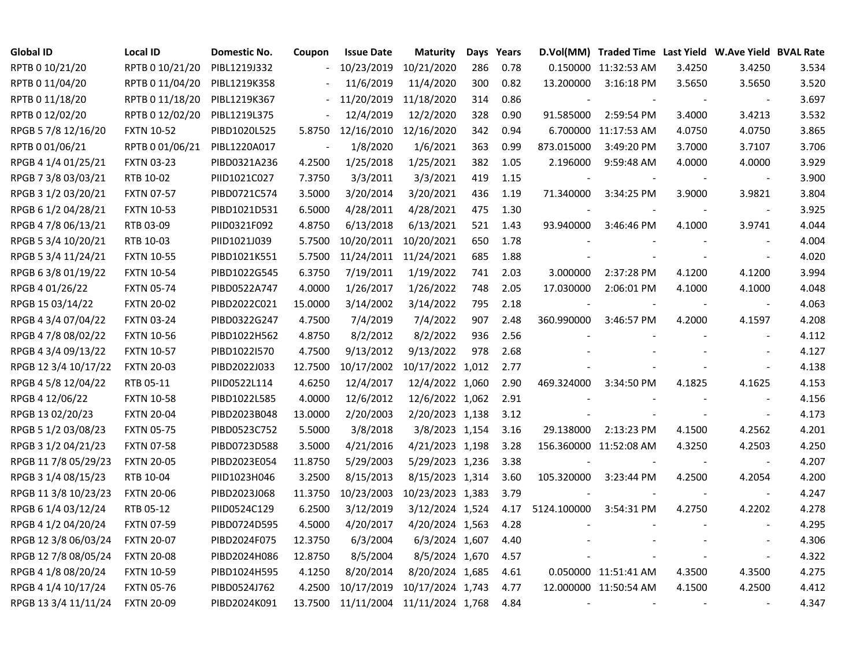| <b>Global ID</b>     | <b>Local ID</b>   | <b>Domestic No.</b> | Coupon                   | <b>Issue Date</b>     | <b>Maturity</b>             |     | Days Years |             | D.Vol(MM) Traded Time Last Yield W.Ave Yield BVAL Rate |        |                          |       |
|----------------------|-------------------|---------------------|--------------------------|-----------------------|-----------------------------|-----|------------|-------------|--------------------------------------------------------|--------|--------------------------|-------|
| RPTB 0 10/21/20      | RPTB 0 10/21/20   | PIBL1219J332        | $\overline{\phantom{a}}$ | 10/23/2019            | 10/21/2020                  | 286 | 0.78       |             | 0.150000 11:32:53 AM                                   | 3.4250 | 3.4250                   | 3.534 |
| RPTB 0 11/04/20      | RPTB 0 11/04/20   | PIBL1219K358        |                          | 11/6/2019             | 11/4/2020                   | 300 | 0.82       | 13.200000   | $3:16:18$ PM                                           | 3.5650 | 3.5650                   | 3.520 |
| RPTB 0 11/18/20      | RPTB 0 11/18/20   | PIBL1219K367        |                          | 11/20/2019            | 11/18/2020                  | 314 | 0.86       |             |                                                        |        |                          | 3.697 |
| RPTB 0 12/02/20      | RPTB 0 12/02/20   | PIBL1219L375        |                          | 12/4/2019             | 12/2/2020                   | 328 | 0.90       | 91.585000   | 2:59:54 PM                                             | 3.4000 | 3.4213                   | 3.532 |
| RPGB 5 7/8 12/16/20  | <b>FXTN 10-52</b> | PIBD1020L525        | 5.8750                   | 12/16/2010            | 12/16/2020                  | 342 | 0.94       |             | 6.700000 11:17:53 AM                                   | 4.0750 | 4.0750                   | 3.865 |
| RPTB 0 01/06/21      | RPTB 0 01/06/21   | PIBL1220A017        |                          | 1/8/2020              | 1/6/2021                    | 363 | 0.99       | 873.015000  | 3:49:20 PM                                             | 3.7000 | 3.7107                   | 3.706 |
| RPGB 4 1/4 01/25/21  | <b>FXTN 03-23</b> | PIBD0321A236        | 4.2500                   | 1/25/2018             | 1/25/2021                   | 382 | 1.05       | 2.196000    | 9:59:48 AM                                             | 4.0000 | 4.0000                   | 3.929 |
| RPGB 7 3/8 03/03/21  | RTB 10-02         | PIID1021C027        | 7.3750                   | 3/3/2011              | 3/3/2021                    | 419 | 1.15       |             |                                                        |        |                          | 3.900 |
| RPGB 3 1/2 03/20/21  | <b>FXTN 07-57</b> | PIBD0721C574        | 3.5000                   | 3/20/2014             | 3/20/2021                   | 436 | 1.19       | 71.340000   | 3:34:25 PM                                             | 3.9000 | 3.9821                   | 3.804 |
| RPGB 6 1/2 04/28/21  | <b>FXTN 10-53</b> | PIBD1021D531        | 6.5000                   | 4/28/2011             | 4/28/2021                   | 475 | 1.30       |             |                                                        |        | $\blacksquare$           | 3.925 |
| RPGB 4 7/8 06/13/21  | RTB 03-09         | PIID0321F092        | 4.8750                   | 6/13/2018             | 6/13/2021                   | 521 | 1.43       | 93.940000   | 3:46:46 PM                                             | 4.1000 | 3.9741                   | 4.044 |
| RPGB 5 3/4 10/20/21  | RTB 10-03         | PIID1021J039        | 5.7500                   | 10/20/2011            | 10/20/2021                  | 650 | 1.78       |             |                                                        |        |                          | 4.004 |
| RPGB 5 3/4 11/24/21  | <b>FXTN 10-55</b> | PIBD1021K551        | 5.7500                   | 11/24/2011 11/24/2021 |                             | 685 | 1.88       |             |                                                        |        | $\sim$                   | 4.020 |
| RPGB 63/8 01/19/22   | <b>FXTN 10-54</b> | PIBD1022G545        | 6.3750                   | 7/19/2011             | 1/19/2022                   | 741 | 2.03       | 3.000000    | 2:37:28 PM                                             | 4.1200 | 4.1200                   | 3.994 |
| RPGB 4 01/26/22      | <b>FXTN 05-74</b> | PIBD0522A747        | 4.0000                   | 1/26/2017             | 1/26/2022                   | 748 | 2.05       | 17.030000   | 2:06:01 PM                                             | 4.1000 | 4.1000                   | 4.048 |
| RPGB 15 03/14/22     | <b>FXTN 20-02</b> | PIBD2022C021        | 15.0000                  | 3/14/2002             | 3/14/2022                   | 795 | 2.18       |             |                                                        |        |                          | 4.063 |
| RPGB 4 3/4 07/04/22  | <b>FXTN 03-24</b> | PIBD0322G247        | 4.7500                   | 7/4/2019              | 7/4/2022                    | 907 | 2.48       | 360.990000  | 3:46:57 PM                                             | 4.2000 | 4.1597                   | 4.208 |
| RPGB 4 7/8 08/02/22  | <b>FXTN 10-56</b> | PIBD1022H562        | 4.8750                   | 8/2/2012              | 8/2/2022                    | 936 | 2.56       |             |                                                        |        |                          | 4.112 |
| RPGB 4 3/4 09/13/22  | <b>FXTN 10-57</b> | PIBD1022I570        | 4.7500                   | 9/13/2012             | 9/13/2022                   | 978 | 2.68       |             |                                                        |        |                          | 4.127 |
| RPGB 12 3/4 10/17/22 | <b>FXTN 20-03</b> | PIBD2022J033        | 12.7500                  | 10/17/2002            | 10/17/2022 1,012            |     | 2.77       |             |                                                        |        | $\blacksquare$           | 4.138 |
| RPGB 4 5/8 12/04/22  | RTB 05-11         | PIID0522L114        | 4.6250                   | 12/4/2017             | 12/4/2022 1,060             |     | 2.90       | 469.324000  | 3:34:50 PM                                             | 4.1825 | 4.1625                   | 4.153 |
| RPGB 4 12/06/22      | <b>FXTN 10-58</b> | PIBD1022L585        | 4.0000                   | 12/6/2012             | 12/6/2022 1,062             |     | 2.91       |             |                                                        |        |                          | 4.156 |
| RPGB 13 02/20/23     | <b>FXTN 20-04</b> | PIBD2023B048        | 13.0000                  | 2/20/2003             | 2/20/2023 1,138             |     | 3.12       |             |                                                        |        | $\blacksquare$           | 4.173 |
| RPGB 5 1/2 03/08/23  | <b>FXTN 05-75</b> | PIBD0523C752        | 5.5000                   | 3/8/2018              | 3/8/2023 1,154              |     | 3.16       | 29.138000   | 2:13:23 PM                                             | 4.1500 | 4.2562                   | 4.201 |
| RPGB 3 1/2 04/21/23  | <b>FXTN 07-58</b> | PIBD0723D588        | 3.5000                   | 4/21/2016             | 4/21/2023 1,198             |     | 3.28       |             | 156.360000 11:52:08 AM                                 | 4.3250 | 4.2503                   | 4.250 |
| RPGB 11 7/8 05/29/23 | <b>FXTN 20-05</b> | PIBD2023E054        | 11.8750                  | 5/29/2003             | 5/29/2023 1,236             |     | 3.38       |             |                                                        |        | $\overline{\phantom{a}}$ | 4.207 |
| RPGB 3 1/4 08/15/23  | RTB 10-04         | PIID1023H046        | 3.2500                   | 8/15/2013             | 8/15/2023 1,314             |     | 3.60       | 105.320000  | 3:23:44 PM                                             | 4.2500 | 4.2054                   | 4.200 |
| RPGB 11 3/8 10/23/23 | <b>FXTN 20-06</b> | PIBD2023J068        | 11.3750                  | 10/23/2003            | 10/23/2023 1,383            |     | 3.79       |             |                                                        |        |                          | 4.247 |
| RPGB 6 1/4 03/12/24  | RTB 05-12         | PIID0524C129        | 6.2500                   | 3/12/2019             | 3/12/2024 1,524             |     | 4.17       | 5124.100000 | 3:54:31 PM                                             | 4.2750 | 4.2202                   | 4.278 |
| RPGB 4 1/2 04/20/24  | <b>FXTN 07-59</b> | PIBD0724D595        | 4.5000                   | 4/20/2017             | 4/20/2024 1,563             |     | 4.28       |             |                                                        |        |                          | 4.295 |
| RPGB 12 3/8 06/03/24 | <b>FXTN 20-07</b> | PIBD2024F075        | 12.3750                  | 6/3/2004              | 6/3/2024 1,607              |     | 4.40       |             |                                                        |        |                          | 4.306 |
| RPGB 12 7/8 08/05/24 | <b>FXTN 20-08</b> | PIBD2024H086        | 12.8750                  | 8/5/2004              | 8/5/2024 1,670              |     | 4.57       |             |                                                        |        | $\overline{\phantom{a}}$ | 4.322 |
| RPGB 4 1/8 08/20/24  | <b>FXTN 10-59</b> | PIBD1024H595        | 4.1250                   | 8/20/2014             | 8/20/2024 1,685             |     | 4.61       |             | 0.050000 11:51:41 AM                                   | 4.3500 | 4.3500                   | 4.275 |
| RPGB 4 1/4 10/17/24  | <b>FXTN 05-76</b> | PIBD0524J762        | 4.2500                   | 10/17/2019            | 10/17/2024 1,743            |     | 4.77       |             | 12.000000 11:50:54 AM                                  | 4.1500 | 4.2500                   | 4.412 |
| RPGB 13 3/4 11/11/24 | <b>FXTN 20-09</b> | PIBD2024K091        | 13.7500                  |                       | 11/11/2004 11/11/2024 1,768 |     | 4.84       | $\sim$      |                                                        |        |                          | 4.347 |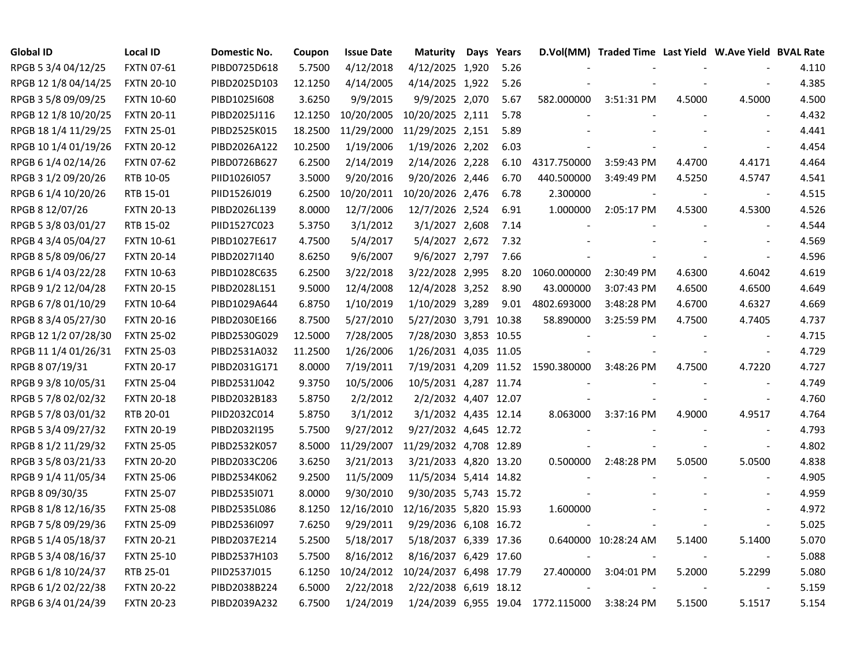| <b>Global ID</b>     | <b>Local ID</b>   | Domestic No. | Coupon  | <b>Issue Date</b> | <b>Maturity</b>                   | Days Years |             | D.Vol(MM) Traded Time Last Yield W.Ave Yield BVAL Rate |        |                          |       |
|----------------------|-------------------|--------------|---------|-------------------|-----------------------------------|------------|-------------|--------------------------------------------------------|--------|--------------------------|-------|
| RPGB 5 3/4 04/12/25  | FXTN 07-61        | PIBD0725D618 | 5.7500  | 4/12/2018         | 4/12/2025 1,920                   | 5.26       |             |                                                        |        |                          | 4.110 |
| RPGB 12 1/8 04/14/25 | <b>FXTN 20-10</b> | PIBD2025D103 | 12.1250 | 4/14/2005         | 4/14/2025 1,922                   | 5.26       |             |                                                        |        |                          | 4.385 |
| RPGB 3 5/8 09/09/25  | <b>FXTN 10-60</b> | PIBD10251608 | 3.6250  | 9/9/2015          | 9/9/2025 2,070                    | 5.67       | 582.000000  | 3:51:31 PM                                             | 4.5000 | 4.5000                   | 4.500 |
| RPGB 12 1/8 10/20/25 | <b>FXTN 20-11</b> | PIBD2025J116 | 12.1250 | 10/20/2005        | 10/20/2025 2,111                  | 5.78       |             |                                                        |        |                          | 4.432 |
| RPGB 18 1/4 11/29/25 | <b>FXTN 25-01</b> | PIBD2525K015 | 18.2500 | 11/29/2000        | 11/29/2025 2,151                  | 5.89       |             |                                                        |        |                          | 4.441 |
| RPGB 10 1/4 01/19/26 | <b>FXTN 20-12</b> | PIBD2026A122 | 10.2500 | 1/19/2006         | 1/19/2026 2,202                   | 6.03       |             |                                                        |        |                          | 4.454 |
| RPGB 6 1/4 02/14/26  | <b>FXTN 07-62</b> | PIBD0726B627 | 6.2500  | 2/14/2019         | 2/14/2026 2,228                   | 6.10       | 4317.750000 | 3:59:43 PM                                             | 4.4700 | 4.4171                   | 4.464 |
| RPGB 3 1/2 09/20/26  | RTB 10-05         | PIID1026I057 | 3.5000  | 9/20/2016         | 9/20/2026 2,446                   | 6.70       | 440.500000  | 3:49:49 PM                                             | 4.5250 | 4.5747                   | 4.541 |
| RPGB 6 1/4 10/20/26  | RTB 15-01         | PIID1526J019 | 6.2500  | 10/20/2011        | 10/20/2026 2,476                  | 6.78       | 2.300000    |                                                        |        | $\blacksquare$           | 4.515 |
| RPGB 8 12/07/26      | <b>FXTN 20-13</b> | PIBD2026L139 | 8.0000  | 12/7/2006         | 12/7/2026 2,524                   | 6.91       | 1.000000    | 2:05:17 PM                                             | 4.5300 | 4.5300                   | 4.526 |
| RPGB 5 3/8 03/01/27  | RTB 15-02         | PIID1527C023 | 5.3750  | 3/1/2012          | 3/1/2027 2,608                    | 7.14       |             |                                                        |        | $\overline{\phantom{a}}$ | 4.544 |
| RPGB 4 3/4 05/04/27  | FXTN 10-61        | PIBD1027E617 | 4.7500  | 5/4/2017          | 5/4/2027 2,672                    | 7.32       |             |                                                        |        |                          | 4.569 |
| RPGB 8 5/8 09/06/27  | <b>FXTN 20-14</b> | PIBD2027I140 | 8.6250  | 9/6/2007          | 9/6/2027 2,797                    | 7.66       |             |                                                        |        |                          | 4.596 |
| RPGB 6 1/4 03/22/28  | <b>FXTN 10-63</b> | PIBD1028C635 | 6.2500  | 3/22/2018         | 3/22/2028 2,995                   | 8.20       | 1060.000000 | 2:30:49 PM                                             | 4.6300 | 4.6042                   | 4.619 |
| RPGB 9 1/2 12/04/28  | <b>FXTN 20-15</b> | PIBD2028L151 | 9.5000  | 12/4/2008         | 12/4/2028 3,252                   | 8.90       | 43.000000   | 3:07:43 PM                                             | 4.6500 | 4.6500                   | 4.649 |
| RPGB 6 7/8 01/10/29  | <b>FXTN 10-64</b> | PIBD1029A644 | 6.8750  | 1/10/2019         | 1/10/2029 3,289                   | 9.01       | 4802.693000 | 3:48:28 PM                                             | 4.6700 | 4.6327                   | 4.669 |
| RPGB 8 3/4 05/27/30  | <b>FXTN 20-16</b> | PIBD2030E166 | 8.7500  | 5/27/2010         | 5/27/2030 3,791 10.38             |            | 58.890000   | 3:25:59 PM                                             | 4.7500 | 4.7405                   | 4.737 |
| RPGB 12 1/2 07/28/30 | <b>FXTN 25-02</b> | PIBD2530G029 | 12.5000 | 7/28/2005         | 7/28/2030 3,853 10.55             |            |             |                                                        |        |                          | 4.715 |
| RPGB 11 1/4 01/26/31 | <b>FXTN 25-03</b> | PIBD2531A032 | 11.2500 | 1/26/2006         | 1/26/2031 4,035 11.05             |            |             |                                                        |        | $\blacksquare$           | 4.729 |
| RPGB 8 07/19/31      | <b>FXTN 20-17</b> | PIBD2031G171 | 8.0000  | 7/19/2011         | 7/19/2031 4,209 11.52             |            | 1590.380000 | 3:48:26 PM                                             | 4.7500 | 4.7220                   | 4.727 |
| RPGB 9 3/8 10/05/31  | <b>FXTN 25-04</b> | PIBD2531J042 | 9.3750  | 10/5/2006         | 10/5/2031 4,287 11.74             |            |             |                                                        |        | $\blacksquare$           | 4.749 |
| RPGB 5 7/8 02/02/32  | <b>FXTN 20-18</b> | PIBD2032B183 | 5.8750  | 2/2/2012          | 2/2/2032 4,407 12.07              |            |             |                                                        |        | $\blacksquare$           | 4.760 |
| RPGB 5 7/8 03/01/32  | RTB 20-01         | PIID2032C014 | 5.8750  | 3/1/2012          | 3/1/2032 4,435 12.14              |            | 8.063000    | 3:37:16 PM                                             | 4.9000 | 4.9517                   | 4.764 |
| RPGB 5 3/4 09/27/32  | <b>FXTN 20-19</b> | PIBD2032I195 | 5.7500  | 9/27/2012         | 9/27/2032 4,645 12.72             |            |             |                                                        |        | $\blacksquare$           | 4.793 |
| RPGB 8 1/2 11/29/32  | <b>FXTN 25-05</b> | PIBD2532K057 | 8.5000  |                   | 11/29/2007 11/29/2032 4,708 12.89 |            |             |                                                        |        | $\blacksquare$           | 4.802 |
| RPGB 3 5/8 03/21/33  | <b>FXTN 20-20</b> | PIBD2033C206 | 3.6250  | 3/21/2013         | 3/21/2033 4,820 13.20             |            | 0.500000    | 2:48:28 PM                                             | 5.0500 | 5.0500                   | 4.838 |
| RPGB 9 1/4 11/05/34  | <b>FXTN 25-06</b> | PIBD2534K062 | 9.2500  | 11/5/2009         | 11/5/2034 5,414 14.82             |            |             |                                                        |        |                          | 4.905 |
| RPGB 8 09/30/35      | <b>FXTN 25-07</b> | PIBD2535I071 | 8.0000  | 9/30/2010         | 9/30/2035 5,743 15.72             |            |             |                                                        |        |                          | 4.959 |
| RPGB 8 1/8 12/16/35  | <b>FXTN 25-08</b> | PIBD2535L086 | 8.1250  | 12/16/2010        | 12/16/2035 5,820 15.93            |            | 1.600000    |                                                        |        |                          | 4.972 |
| RPGB 7 5/8 09/29/36  | <b>FXTN 25-09</b> | PIBD2536I097 | 7.6250  | 9/29/2011         | 9/29/2036 6,108 16.72             |            |             |                                                        |        | $\blacksquare$           | 5.025 |
| RPGB 5 1/4 05/18/37  | <b>FXTN 20-21</b> | PIBD2037E214 | 5.2500  | 5/18/2017         | 5/18/2037 6,339 17.36             |            |             | 0.640000 10:28:24 AM                                   | 5.1400 | 5.1400                   | 5.070 |
| RPGB 5 3/4 08/16/37  | <b>FXTN 25-10</b> | PIBD2537H103 | 5.7500  | 8/16/2012         | 8/16/2037 6,429 17.60             |            |             |                                                        |        | $\sim$                   | 5.088 |
| RPGB 6 1/8 10/24/37  | RTB 25-01         | PIID2537J015 | 6.1250  | 10/24/2012        | 10/24/2037 6,498 17.79            |            | 27.400000   | 3:04:01 PM                                             | 5.2000 | 5.2299                   | 5.080 |
| RPGB 6 1/2 02/22/38  | <b>FXTN 20-22</b> | PIBD2038B224 | 6.5000  | 2/22/2018         | 2/22/2038 6,619 18.12             |            |             |                                                        |        |                          | 5.159 |
| RPGB 63/4 01/24/39   | <b>FXTN 20-23</b> | PIBD2039A232 | 6.7500  | 1/24/2019         | 1/24/2039 6,955 19.04             |            | 1772.115000 | $3:38:24$ PM                                           | 5.1500 | 5.1517                   | 5.154 |